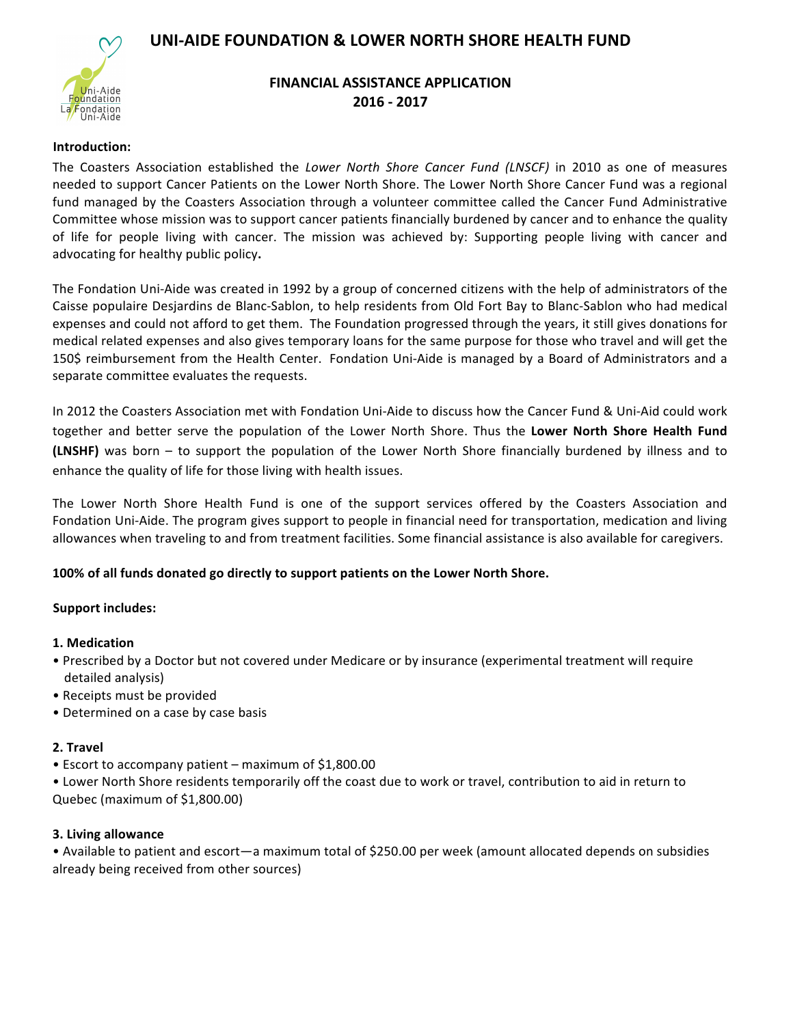# UNI-AIDE FOUNDATION & LOWER NORTH SHORE HEALTH FUND



# **FINANCIAL ASSISTANCE APPLICATION 2016 - 2017**

#### **Introduction:**

The Coasters Association established the *Lower North Shore Cancer Fund (LNSCF)* in 2010 as one of measures needed to support Cancer Patients on the Lower North Shore. The Lower North Shore Cancer Fund was a regional fund managed by the Coasters Association through a volunteer committee called the Cancer Fund Administrative Committee whose mission was to support cancer patients financially burdened by cancer and to enhance the quality of life for people living with cancer. The mission was achieved by: Supporting people living with cancer and advocating for healthy public policy.

The Fondation Uni-Aide was created in 1992 by a group of concerned citizens with the help of administrators of the Caisse populaire Desjardins de Blanc-Sablon, to help residents from Old Fort Bay to Blanc-Sablon who had medical expenses and could not afford to get them. The Foundation progressed through the years, it still gives donations for medical related expenses and also gives temporary loans for the same purpose for those who travel and will get the 150\$ reimbursement from the Health Center. Fondation Uni-Aide is managed by a Board of Administrators and a separate committee evaluates the requests.

In 2012 the Coasters Association met with Fondation Uni-Aide to discuss how the Cancer Fund & Uni-Aid could work together and better serve the population of the Lower North Shore. Thus the Lower North Shore Health Fund **(LNSHF)** was born – to support the population of the Lower North Shore financially burdened by illness and to enhance the quality of life for those living with health issues.

The Lower North Shore Health Fund is one of the support services offered by the Coasters Association and Fondation Uni-Aide. The program gives support to people in financial need for transportation, medication and living allowances when traveling to and from treatment facilities. Some financial assistance is also available for caregivers.

## **100%** of all funds donated go directly to support patients on the Lower North Shore.

## **Support includes:**

## **1. Medication**

- Prescribed by a Doctor but not covered under Medicare or by insurance (experimental treatment will require detailed analysis)
- Receipts must be provided
- Determined on a case by case basis

## **2. Travel**

• Escort to accompany patient – maximum of  $$1,800.00$ 

• Lower North Shore residents temporarily off the coast due to work or travel, contribution to aid in return to Quebec (maximum of \$1,800.00)

## **3. Living allowance**

• Available to patient and escort—a maximum total of \$250.00 per week (amount allocated depends on subsidies already being received from other sources)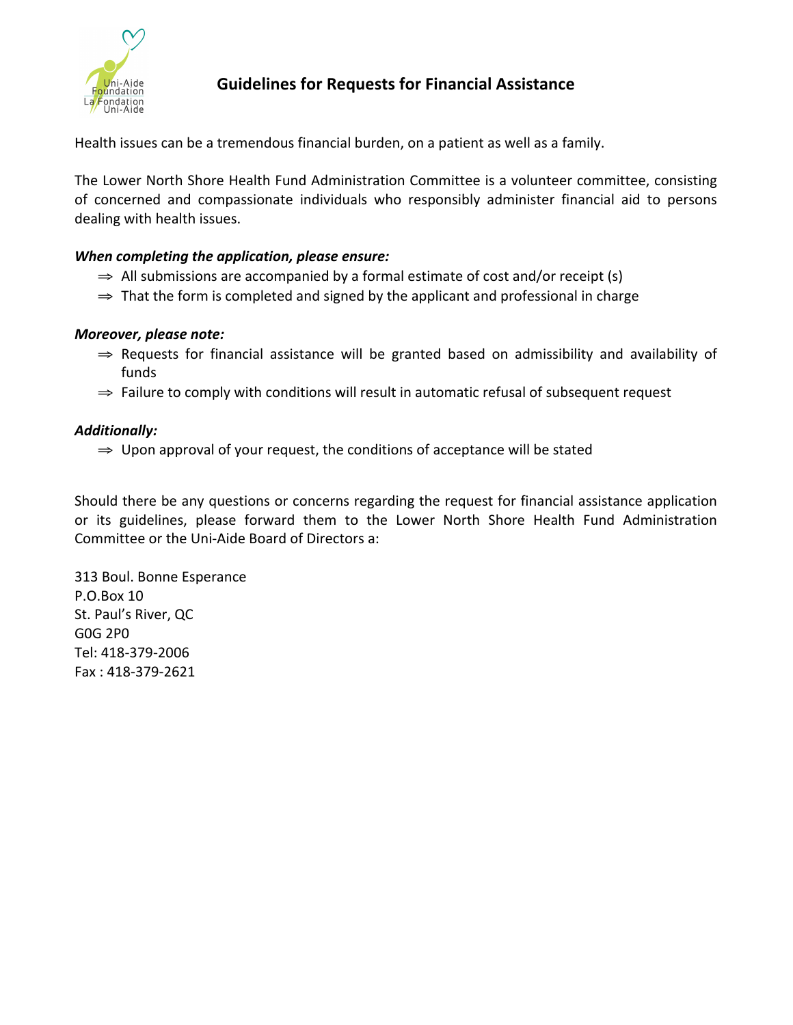

# **Guidelines for Requests for Financial Assistance**

Health issues can be a tremendous financial burden, on a patient as well as a family.

The Lower North Shore Health Fund Administration Committee is a volunteer committee, consisting of concerned and compassionate individuals who responsibly administer financial aid to persons dealing with health issues.

# *When completing the application, please ensure:*

- $\Rightarrow$  All submissions are accompanied by a formal estimate of cost and/or receipt (s)
- $\Rightarrow$  That the form is completed and signed by the applicant and professional in charge

# *Moreover, please note:*

- ⇒ Requests for financial assistance will be granted based on admissibility and availability of funds
- $\Rightarrow$  Failure to comply with conditions will result in automatic refusal of subsequent request

# *Additionally:*

 $\Rightarrow$  Upon approval of your request, the conditions of acceptance will be stated

Should there be any questions or concerns regarding the request for financial assistance application or its guidelines, please forward them to the Lower North Shore Health Fund Administration Committee or the Uni-Aide Board of Directors a:

313 Boul. Bonne Esperance P.O.Box 10 St. Paul's River, QC G0G 2P0 Tel: 418-379-2006 Fax : 418-379-2621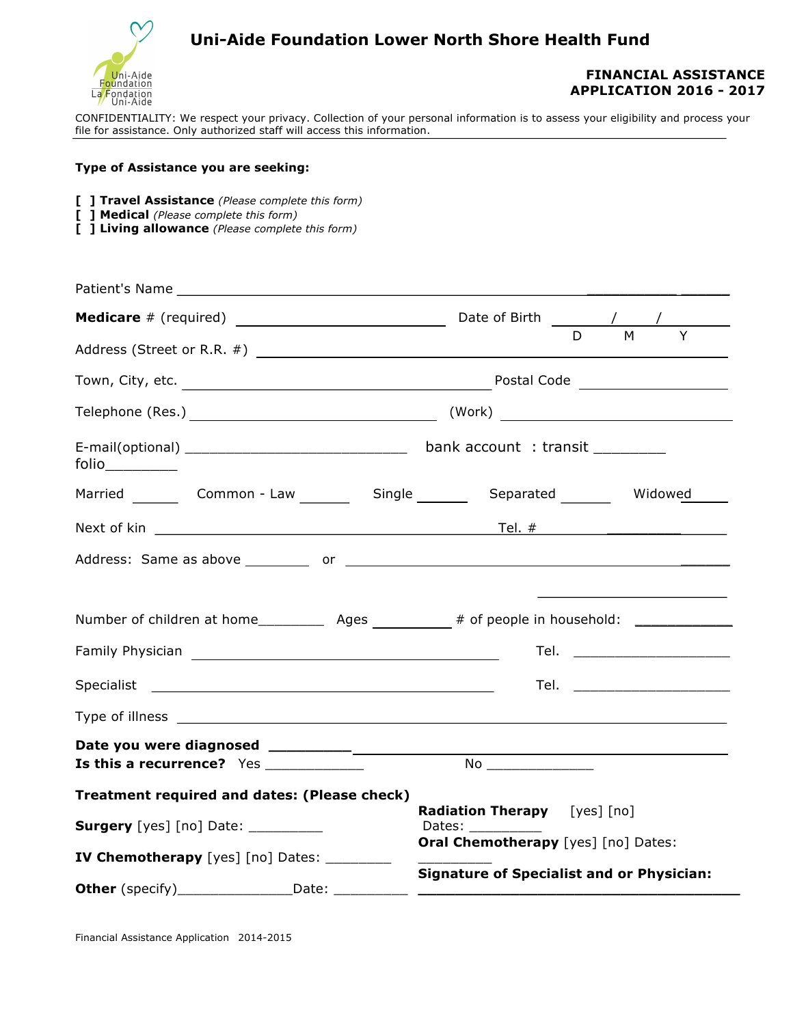

# **Uni-Aide Foundation Lower North Shore Health Fund**

## **FINANCIAL ASSISTANCE APPLICATION 2016 - 2017**

CONFIDENTIALITY: We respect your privacy. Collection of your personal information is to assess your eligibility and process your file for assistance. Only authorized staff will access this information.

#### **Type of Assistance you are seeking:**

- **[ ] Travel Assistance** *(Please complete this form)*
- **[ ] Medical** *(Please complete this form)*
- **[ ] Living allowance** *(Please complete this form)*

|                                                                    |  | $\overline{M}$<br>$\overline{Y}$<br>D.                                                                                                                                                                                                                                                   |  |  |  |  |
|--------------------------------------------------------------------|--|------------------------------------------------------------------------------------------------------------------------------------------------------------------------------------------------------------------------------------------------------------------------------------------|--|--|--|--|
|                                                                    |  |                                                                                                                                                                                                                                                                                          |  |  |  |  |
|                                                                    |  |                                                                                                                                                                                                                                                                                          |  |  |  |  |
|                                                                    |  |                                                                                                                                                                                                                                                                                          |  |  |  |  |
|                                                                    |  | Married ________ Common - Law _________ Single ________ Separated _______ Widowed                                                                                                                                                                                                        |  |  |  |  |
|                                                                    |  |                                                                                                                                                                                                                                                                                          |  |  |  |  |
|                                                                    |  | Tel. ________________________                                                                                                                                                                                                                                                            |  |  |  |  |
|                                                                    |  | Tel. ___________________________                                                                                                                                                                                                                                                         |  |  |  |  |
|                                                                    |  |                                                                                                                                                                                                                                                                                          |  |  |  |  |
| Is this a recurrence? Yes ____________                             |  | $\,$ No $\_$                                                                                                                                                                                                                                                                             |  |  |  |  |
| Treatment required and dates: (Please check)                       |  |                                                                                                                                                                                                                                                                                          |  |  |  |  |
| <b>Surgery</b> [yes] [no] Date: __________                         |  | Radiation Therapy [yes] [no]<br>Dates: ___________                                                                                                                                                                                                                                       |  |  |  |  |
| IV Chemotherapy [yes] [no] Dates: _______                          |  | Oral Chemotherapy [yes] [no] Dates:                                                                                                                                                                                                                                                      |  |  |  |  |
| <b>Other</b> (specify)_________________________Date: _____________ |  | <b>Signature of Specialist and or Physician:</b><br><u> 1989 - John Harry Harry Harry Harry Harry Harry Harry Harry Harry Harry Harry Harry Harry Harry Harry Harry Harry Harry Harry Harry Harry Harry Harry Harry Harry Harry Harry Harry Harry Harry Harry Harry Harry Harry Harr</u> |  |  |  |  |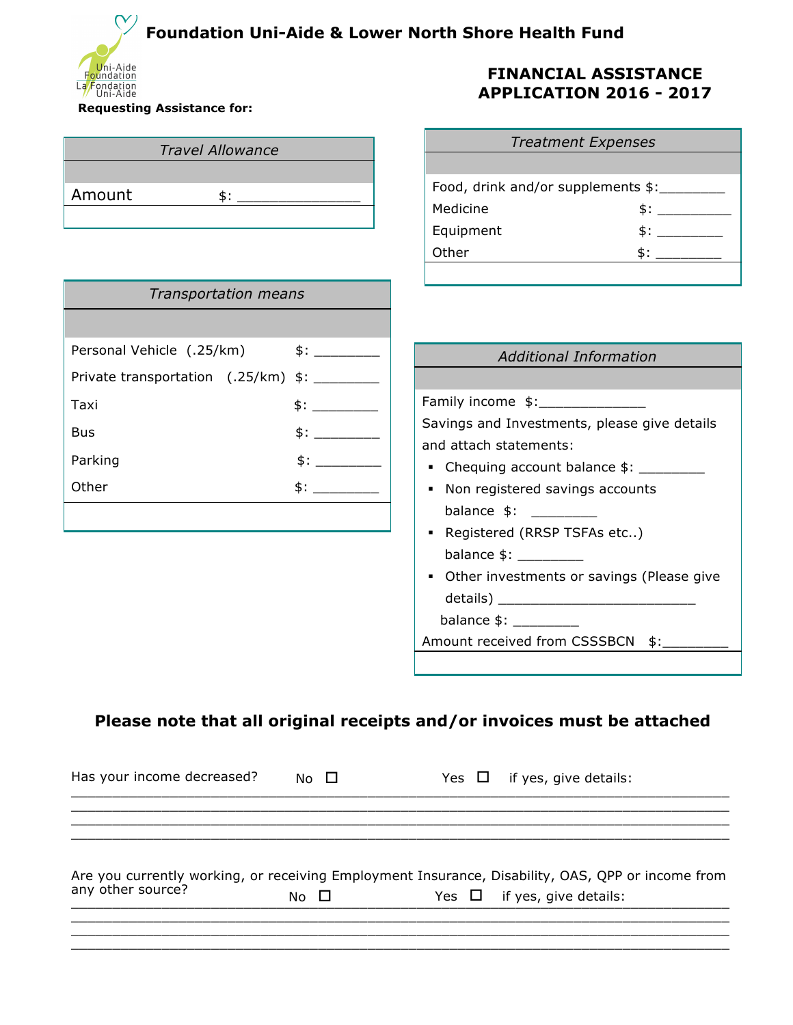# **Foundation Uni-Aide & Lower North Shore Health Fund**



#### **Requesting Assistance for:**

| <b>Travel Allowance</b>                      |     | <b>Treatment Expenses</b>                    |     |  |
|----------------------------------------------|-----|----------------------------------------------|-----|--|
|                                              |     |                                              |     |  |
| Amount<br>\$:                                |     | Food, drink and/or supplements \$:________   |     |  |
|                                              |     | Medicine                                     | \$: |  |
|                                              |     | Equipment                                    | \$: |  |
|                                              |     | Other                                        |     |  |
| <b>Transportation means</b>                  |     |                                              |     |  |
| Personal Vehicle (.25/km)                    |     | <b>Additional Information</b>                |     |  |
| Private transportation (.25/km) \$: ________ |     |                                              |     |  |
| Taxi                                         | \$: | Family income \$:_____________               |     |  |
| <b>Bus</b>                                   | \$: | Savings and Investments, please give details |     |  |
| Parking                                      | \$: | and attach statements:                       |     |  |
| Other                                        | \$: | • Chequing account balance \$: ________      |     |  |
|                                              |     | • Non registered savings accounts            |     |  |
|                                              |     | • Registered (RRSP TSFAs etc)                |     |  |
|                                              |     | balance $\frac{1}{2}$ :                      |     |  |
|                                              |     | • Other investments or savings (Please give  |     |  |
|                                              |     |                                              |     |  |
|                                              |     |                                              |     |  |
|                                              |     | Amount received from CSSSBCN \$:             |     |  |
|                                              |     |                                              |     |  |
|                                              |     |                                              |     |  |

# **Please note that all original receipts and/or invoices must be attached**

| Has your income decreased? | No $\square$ | Yes $\Box$ if yes, give details:                                                                  |
|----------------------------|--------------|---------------------------------------------------------------------------------------------------|
|                            |              |                                                                                                   |
|                            |              | Are you currently working, or receiving Employment Insurance, Disability, OAS, QPP or income from |
| any other source?          | No $\Box$    | Yes $\Box$ if yes, give details:                                                                  |
|                            |              |                                                                                                   |

\_\_\_\_\_\_\_\_\_\_\_\_\_\_\_\_\_\_\_\_\_\_\_\_\_\_\_\_\_\_\_\_\_\_\_\_\_\_\_\_\_\_\_\_\_\_\_\_\_\_\_\_\_\_\_\_\_\_\_\_\_\_\_\_\_\_\_\_\_\_\_\_\_\_\_\_\_\_\_\_

# **FINANCIAL ASSISTANCE APPLICATION 2016 - 2017**